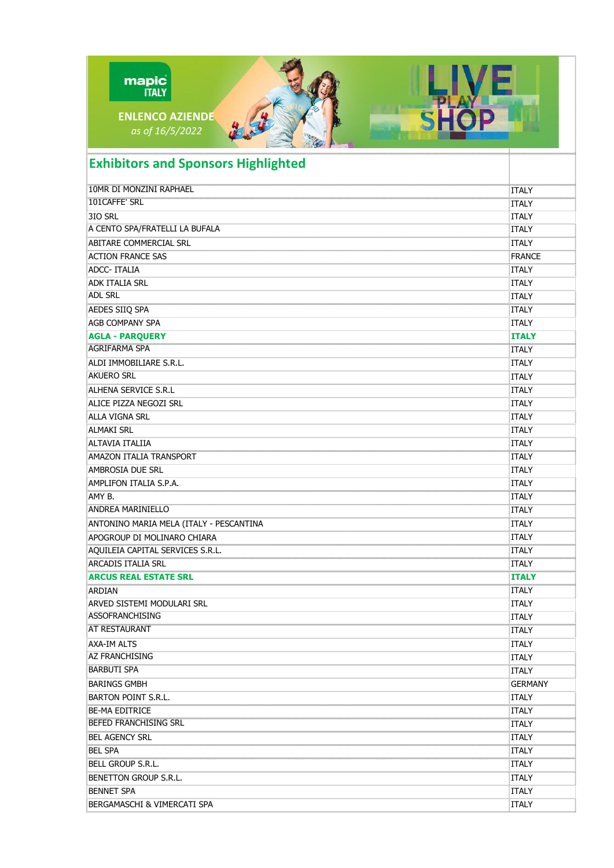| mapic<br><b>ITALY</b><br><b>SHO</b><br><b>ENLENCO AZIENDE</b><br>as of 16/5/2022 |                                   |
|----------------------------------------------------------------------------------|-----------------------------------|
| <b>Exhibitors and Sponsors Highlighted</b>                                       |                                   |
| 10MR DI MONZINI RAPHAEL                                                          | <b>ITALY</b>                      |
| 101CAFFE' SRL                                                                    | <b>ITALY</b>                      |
| 3IO SRL                                                                          | <b>ITALY</b>                      |
| A CENTO SPA/FRATELLI LA BUFALA                                                   | <b>ITALY</b>                      |
| ABITARE COMMERCIAL SRL                                                           | <b>ITALY</b>                      |
| <b>ACTION FRANCE SAS</b>                                                         | FRANCE                            |
| ADCC-ITALIA                                                                      | ITALY                             |
| <b>ADK ITALIA SRL</b>                                                            | <b>ITALY</b>                      |
| <b>ADL SRL</b>                                                                   | <b>ITALY</b>                      |
| AEDES SIIQ SPA                                                                   | <b>ITALY</b>                      |
| AGB COMPANY SPA                                                                  | <b>ITALY</b>                      |
| <b>AGLA - PARQUERY</b>                                                           | <b>ITALY</b>                      |
| <b>AGRIFARMA SPA</b>                                                             | <b>ITALY</b>                      |
| ALDI IMMOBILIARE S.R.L.                                                          | <b>ITALY</b>                      |
| <b>AKUERO SRL</b>                                                                | <b>ITALY</b>                      |
| ALHENA SERVICE S.R.L                                                             | <b>ITALY</b>                      |
| ALICE PIZZA NEGOZI SRL                                                           | <b>ITALY</b>                      |
| ialla vigna srl                                                                  | <b>ITALY</b>                      |
| <b>ALMAKI SRL</b>                                                                | <b>ITALY</b>                      |
| ALTAVIA ITALIIA                                                                  | <b>ITALY</b>                      |
| AMAZON ITALIA TRANSPORT                                                          | <b>ITALY</b>                      |
| AMBROSIA DUE SRL                                                                 | <b>ITALY</b>                      |
| AMPLIFON ITALIA S.P.A.                                                           | <b>ITALY</b><br>.<br>huunnommuu   |
| AMY B.                                                                           | ITALY<br>5                        |
| <b>ANDREA MARINIELLO</b>                                                         | <b>ITALY</b>                      |
| ANTONINO MARIA MELA (ITALY - PESCANTINA                                          | <b>ITALY</b><br>.<br>Buunnoonnoon |
| APOGROUP DI MOLINARO CHIARA                                                      | <b>ITALY</b>                      |
| AQUILEIA CAPITAL SERVICES S.R.L.                                                 | <b>ITALY</b>                      |
| ARCADIS ITALIA SRL                                                               | ITALY<br>.<br>Dominiminimini      |
| ARCUS REAL ESTATE SRL                                                            | <b>ITALY</b>                      |
| ARDIAN                                                                           | ITALY                             |
| ARVED SISTEMI MODULARI SRL                                                       | <b>ITALY</b>                      |
| ASSOFRANCHISING                                                                  | <b>ITALY</b>                      |
| <b>AT RESTAURANT</b>                                                             | ITALY                             |
| <b>AXA-IM ALTS</b>                                                               | <b>ITALY</b>                      |
| AZ FRANCHISING                                                                   | <b>ITALY</b>                      |
| <b>BARBUTI SPA</b>                                                               | ITALY                             |
| <b>BARINGS GMBH</b>                                                              | <b>GERMANY</b>                    |
| <b>BARTON POINT S.R.L.</b>                                                       | ITALY                             |
| <b>BE-MA EDITRICE</b>                                                            | ITALY<br>.<br>huunnommuun         |
| <b>BEFED FRANCHISING SRL</b>                                                     | ITALY                             |
| <b>BEL AGENCY SRL</b>                                                            | ITALY<br>.<br>Toomoonomoo         |
| <b>BEL SPA</b>                                                                   | ITALY<br>.<br>Dominim minim m     |
| BELL GROUP S.R.L.                                                                | ITALY                             |
| <b>BENETTON GROUP S.R.L.</b>                                                     | ITALY                             |
| <b>BENNET SPA</b>                                                                | <b>ITALY</b>                      |
| <b>BERGAMASCHI &amp; VIMERCATI SPA</b>                                           | ITALY                             |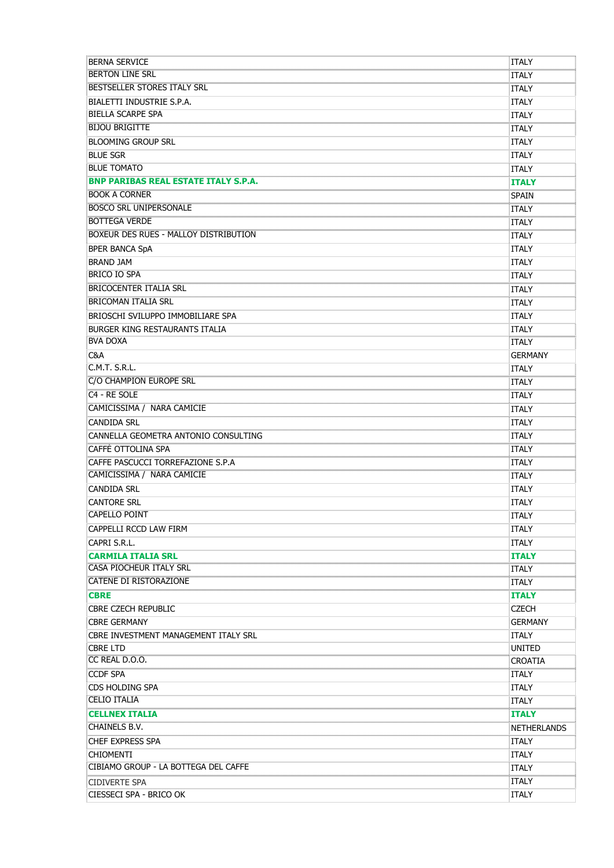| <b>BERNA SERVICE</b>                         | ITALY                               |
|----------------------------------------------|-------------------------------------|
| <b>BERTON LINE SRL</b>                       | Italy                               |
| <b>BESTSELLER STORES ITALY SRL</b>           | ITALY                               |
| BIALETTI INDUSTRIE S.P.A.                    | <b>ITALY</b>                        |
| <b>BIELLA SCARPE SPA</b>                     | <b>ITALY</b>                        |
| <b>BIJOU BRIGITTE</b>                        | <b>ITALY</b>                        |
| <b>BLOOMING GROUP SRL</b>                    | <b>ITALY</b>                        |
| <b>BLUE SGR</b>                              | <b>ITALY</b>                        |
| <b>BLUE TOMATO</b>                           | <b>ITALY</b>                        |
| <b>BNP PARIBAS REAL ESTATE ITALY S.P.A.</b>  | <b>ITALY</b>                        |
|                                              | <b>SPAIN</b>                        |
| <b>BOSCO SRL UNIPERSONALE</b>                | <b>ITALY</b>                        |
| <b>BOTTEGA VERDE</b>                         | .<br>10000000000000<br><b>ITALY</b> |
| <b>BOXEUR DES RUES - MALLOY DISTRIBUTION</b> | :<br>}mmmmmmmm<br>ITALY             |
| <b>BPER BANCA SpA</b>                        | <b>ITALY</b>                        |
| <b>BRAND JAM</b>                             | <b>ITALY</b>                        |
| <b>BRICO IO SPA</b>                          | <b>ITALY</b>                        |
| <b>BRICOCENTER ITALIA SRL</b>                | <b>ITALY</b>                        |
| <b>BRICOMAN ITALIA SRL</b>                   | <b>ITALY</b>                        |
| BRIOSCHI SVILUPPO IMMOBILIARE SPA            | <b>ITALY</b>                        |
| <b>BURGER KING RESTAURANTS ITALIA</b>        | <b>ITALY</b>                        |
| <b>BVA DOXA</b>                              | :ITALY                              |
| C&A                                          | <b>GERMANY</b>                      |
| C.M.T. S.R.L.                                | <b>ITALY</b>                        |
| ECO CHAMPION EUROPE SRL                      | ITALY                               |
| C <sub>4</sub> - RE SOLE                     | ITALY                               |
| <b>CAMICISSIMA / NARA CAMICIE</b>            | -<br>Toomaanaanaan<br>ITALY         |
| CANDIDA SRL                                  | <b>ITALY</b>                        |
| CANNELLA GEOMETRA ANTONIO CONSULTING         | .<br><br><b>ITALY</b>               |
| CAFFÈ OTTOLINA SPA                           | ITALY                               |
| CAFFE PASCUCCI TORREFAZIONE S.P.A            | .<br>Dominiminimini<br><b>ITALY</b> |
| CAMICISSIMA / NARA CAMICIE                   | .<br>Toomoonomoo<br>ITALY           |
| Candida Srl                                  | <b>ITALY</b>                        |
| <b>CANTORE SRL</b>                           | <b>ITALY</b>                        |
| <b>CAPELLO POINT</b>                         | <b>ITALY</b>                        |
| CAPPELLI RCCD LAW FIRM                       | <b>ITALY</b>                        |
| CAPRI S.R.L.                                 | <b>ITALY</b>                        |
| <b>CARMILA ITALIA SRL</b>                    | <b>ITALY</b>                        |
| <b>CASA PIOCHEUR ITALY SRL</b>               | ITALY                               |
| CATENE DI RISTORAZIONE                       | .<br>mmmmmm<br><b>ITALY</b>         |
| <b>CBRE</b>                                  | <b>ITALY</b>                        |
| <b>CBRE CZECH REPUBLIC</b>                   | <b>CZECH</b>                        |
| <b>CBRE GERMANY</b>                          | <b>GERMANY</b>                      |
| CBRE INVESTMENT MANAGEMENT ITALY SRL         | <b>ITALY</b>                        |
| <b>CBRE LTD</b>                              | UNITED                              |
| CC REAL D.O.O.                               | CROATIA                             |
| <b>CCDF SPA</b>                              | ITALY                               |
| <b>CDS HOLDING SPA</b>                       | <b>ITALY</b>                        |
| <b>CELIO ITALIA</b>                          | ITALY                               |
| CELLNEX ITALIA                               | <b>ITALY</b>                        |
| <b>CHAINELS B.V.</b>                         | NETHERLANDS                         |
| CHEF EXPRESS SPA                             | <b>ITALY</b>                        |
| <b>CHIOMENTI</b>                             | <b>ITALY</b>                        |
| CIBIAMO GROUP - LA BOTTEGA DEL CAFFE         | <b>ITALY</b>                        |
| <b>CIDIVERTE SPA</b>                         | ITALY                               |
| CIESSECI SPA - BRICO OK                      | <b>ITALY</b>                        |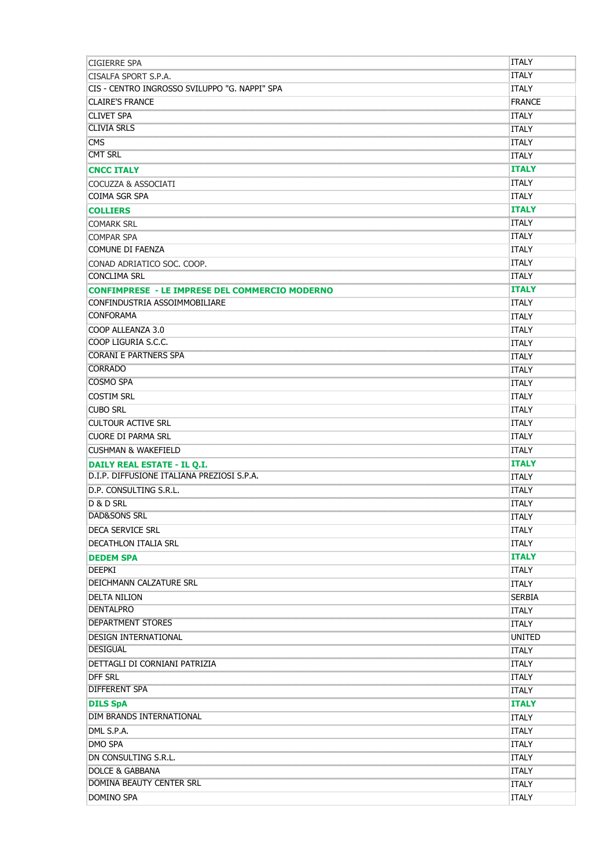| <b>CIGIERRE SPA</b>                                   | ITALY                               |
|-------------------------------------------------------|-------------------------------------|
| CISALFA SPORT S.P.A.                                  | ITALY                               |
| CIS - CENTRO INGROSSO SVILUPPO "G. NAPPI" SPA         | <b>ITALY</b>                        |
| <b>CLAIRE'S FRANCE</b>                                | <b>FRANCE</b>                       |
| <b>CLIVET SPA</b>                                     | <b>ITALY</b>                        |
| <b>CLIVIA SRLS</b>                                    | <b>ITALY</b>                        |
| <b>CMS</b>                                            | <br>ITALY                           |
| <b>CMT SRL</b>                                        | <b>ITALY</b>                        |
| <b>CNCC ITALY</b>                                     | 60000000000000<br><b>ITALY</b>      |
| COCUZZA & ASSOCIATI                                   | .<br>10000000000000<br><b>ITALY</b> |
| <b>COIMA SGR SPA</b>                                  | <b>ITALY</b>                        |
| <b>COLLIERS</b>                                       | <b>ITALY</b>                        |
| COMARK SRL                                            | <b>ITALY</b>                        |
| <b>COMPAR SPA</b>                                     | ITALY                               |
| COMUNE DI FAENZA                                      | <b>ITALY</b>                        |
| CONAD ADRIATICO SOC. COOP.                            | <b>ITALY</b>                        |
| CONCLIMA SRL                                          | <b>ITALY</b>                        |
| <b>CONFIMPRESE - LE IMPRESE DEL COMMERCIO MODERNO</b> | <b>ITALY</b>                        |
| CONFINDUSTRIA ASSOIMMOBILIARE                         | <b>ITALY</b>                        |
| <b>CONFORAMA</b>                                      | <b>ITALY</b>                        |
| COOP ALLEANZA 3.0                                     | <b>ITALY</b>                        |
| COOP LIGURIA S.C.C.                                   | <b>ITALY</b>                        |
| <b>CORANI E PARTNERS SPA</b>                          | <b>ITALY</b>                        |
| <b>CORRADO</b>                                        | <br>ITALY                           |
| <b>COSMO SPA</b>                                      | ITALY                               |
| <b>COSTIM SRL</b>                                     | <b>ITALY</b>                        |
| <b>CUBO SRL</b>                                       | ITALY                               |
| <b>CULTOUR ACTIVE SRL</b>                             | <b>ITALY</b>                        |
| CUORE DI PARMA SRL                                    | <b>ITALY</b>                        |
| <b>CUSHMAN &amp; WAKEFIELD</b>                        | <b>ITALY</b>                        |
| <b>DAILY REAL ESTATE - IL O.I.</b>                    | .<br>Dominimimimimi<br><b>ITALY</b> |
| D.I.P. DIFFUSIONE ITALIANA PREZIOSI S.P.A.            | ITALY                               |
| D.P. CONSULTING S.R.L.                                | .<br>Domonomonom<br><b>ITALY</b>    |
| D & D SRL                                             | <b>ITALY</b>                        |
| <b>DAD&amp;SONS SRL</b>                               | ömmununnunnun<br><b>ITALY</b>       |
| <b>DECA SERVICE SRL</b>                               | <b>ITALY</b>                        |
| <b>DECATHLON ITALIA SRL</b>                           | <b>ITALY</b>                        |
| <b>DEDEM SPA</b>                                      | <b>ITALY</b>                        |
| <b>DEEPKI</b>                                         | <b>ITALY</b>                        |
| DEICHMANN CALZATURE SRL                               | <b>ITALY</b>                        |
| <b>DELTA NILION</b>                                   | <b>SERBIA</b>                       |
| <b>DENTALPRO</b>                                      | <b>ITALY</b>                        |
| <b>DEPARTMENT STORES</b>                              | <b>ITALY</b>                        |
| DESIGN INTERNATIONAL                                  | UNITED                              |
| <b>DESIGUAL</b>                                       | ITALY                               |
| DETTAGLI DI CORNIANI PATRIZIA                         | <b>ITALY</b>                        |
| <b>DFF SRL</b>                                        | ՝ոստաստաս<br>ITALY                  |
| <b>DIFFERENT SPA</b>                                  | <b>ITALY</b>                        |
| <b>DILS SpA</b>                                       | ՝ասասասա<br><b>ITALY</b>            |
| DIM BRANDS INTERNATIONAL                              | ITALY                               |
| DML S.P.A.                                            | ITALY                               |
| DMO SPA                                               | .<br>ITALY                          |
| DN CONSULTING S.R.L.                                  | ITALY                               |
| DOLCE & GABBANA                                       | .<br>Dominimimimimi<br>ITALY        |
| DOMINA BEAUTY CENTER SRL                              | <b>ITALY</b>                        |
| DOMINO SPA                                            | <b>ITALY</b>                        |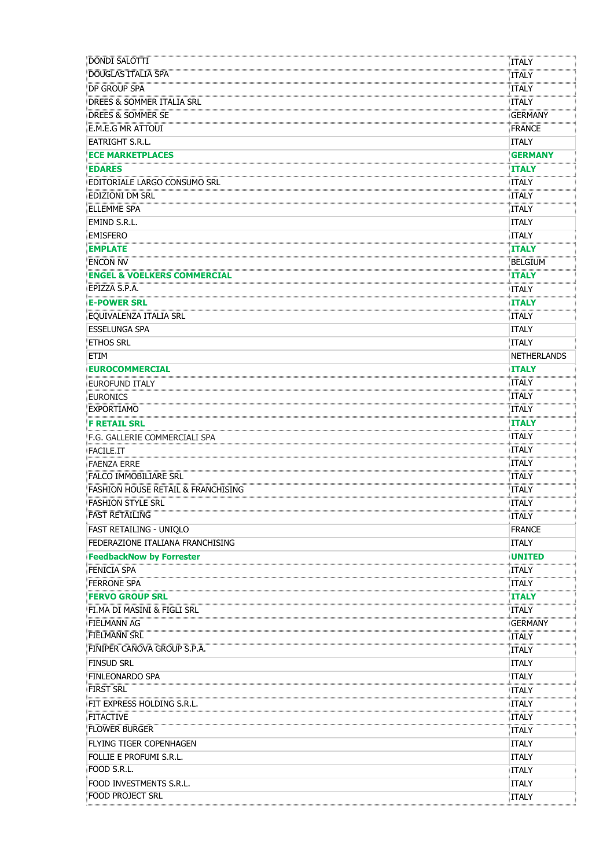| <b>DONDI SALOTTI</b>                                         | ITALY                                    |
|--------------------------------------------------------------|------------------------------------------|
| DOUGLAS ITALIA SPA                                           | <b>ITALY</b>                             |
| DP GROUP SPA                                                 | <b>ITALY</b>                             |
| 0000000000000000000000000000000<br>DREES & SOMMER ITALIA SRL | <b>ITALY</b>                             |
| DREES & SOMMER SE                                            | <b>GERMANY</b>                           |
| <b>E.M.E.G MR ATTOUI</b>                                     | <b>FRANCE</b>                            |
| EATRIGHT S.R.L.                                              | <b>ITALY</b>                             |
| <b>ECE MARKETPLACES</b>                                      | <b>GERMANY</b>                           |
| <b>EDARES</b>                                                | <b>ITALY</b>                             |
| EDITORIALE LARGO CONSUMO SRL                                 | ITALY                                    |
| EDIZIONI DM SRL                                              | .<br>10000000000000<br><b>ITALY</b>      |
| <b>ELLEMME SPA</b>                                           | <b>ITALY</b>                             |
| EMIND S.R.L.                                                 | <b>ITALY</b>                             |
| <b>EMISFERO</b>                                              | <b>ITALY</b>                             |
| <b>EMPLATE</b>                                               | <b>ITALY</b>                             |
| <b>ENCON NV</b>                                              | <br><b>BELGIUM</b>                       |
| <b>ENGEL &amp; VOELKERS COMMERCIAL</b>                       | <b>ITALY</b>                             |
|                                                              | 0000000000000<br>ITALY                   |
| <b>E-POWER SRL</b>                                           | <br><b>ITALY</b>                         |
| EQUIVALENZA ITALIA SRL                                       | ITALY                                    |
| <b>ESSELUNGA SPA</b>                                         | <b>ITALY</b>                             |
| <b>ETHOS SRL</b>                                             | <b>ITALY</b>                             |
| ETIM                                                         | <b>NETHERLANDS</b>                       |
| <b>EUROCOMMERCIAL</b>                                        | <b>ITALY</b>                             |
| EUROFUND ITALY                                               | <br>ITALY                                |
| <b>EURONICS</b>                                              | <b>ITALY</b>                             |
| <b>EXPORTIAMO</b>                                            | <b>ITALY</b>                             |
| <b>F RETAIL SRL</b>                                          | <b>ITALY</b>                             |
| F.G. GALLERIE COMMERCIALI SPA                                | <b>ITALY</b>                             |
| FACILE.IT                                                    | ITALY                                    |
| <b>FAENZA ERRE</b>                                           | <b>ITALY</b>                             |
| <b>FALCO IMMOBILIARE SRL</b>                                 | .<br>Domonomonom<br>ITALY                |
| FASHION HOUSE RETAIL & FRANCHISING                           | <b>ITALY</b>                             |
| <b>FASHION STYLE SRL</b>                                     | .<br>Domonomonom<br>ITALY                |
| FAST RETAILING                                               | ğummunununu<br><b>ITALY</b>              |
| FAST RETAILING - UNIQLO                                      | <b>FRANCE</b>                            |
| FEDERAZIONE ITALIANA FRANCHISING                             | <b>ITALY</b>                             |
| <b>FeedbackNow by Forrester</b>                              | <b>UNITED</b>                            |
| FFNICIA SPA                                                  | <b>ITALY</b>                             |
| <b>FERRONE SPA</b>                                           | .<br>Annonomono<br>ITALY                 |
| <b>FERVO GROUP SRL</b>                                       | <b>ITALY</b>                             |
| FI.MA DI MASINI & FIGLI SRL                                  | <br>ITALY                                |
| FIELMANN AG                                                  | GERMANY                                  |
| <b>FIELMANN SRL</b>                                          | ,,,,,,,,,,,,,,,,,,,,,,,,,,,,,,,<br>ITALY |
| <b>FINIPER CANOVA GROUP S.P.A.</b>                           | ITALY                                    |
| <b>FINSUD SRL</b>                                            | <b>ITALY</b>                             |
| <b>FINLEONARDO SPA</b>                                       | <b>ITALY</b>                             |
| <b>FIRST SRL</b>                                             | ITALY                                    |
| FIT EXPRESS HOLDING S.R.L.                                   | .<br>Toomaanoona<br><b>ITALY</b>         |
| <b>FITACTIVE</b>                                             | <b>ITALY</b>                             |
| <b>FLOWER BURGER</b>                                         | <b>ITALY</b>                             |
| FLYING TIGER COPENHAGEN                                      | <b>ITALY</b>                             |
| FOLLIE E PROFUMI S.R.L.                                      | <b>ITALY</b>                             |
| FOOD S.R.L.                                                  | ittaly                                   |
| FOOD INVESTMENTS S.R.L.                                      | <b>ITALY</b>                             |
| FOOD PROJECT SRL                                             | ITALY                                    |
|                                                              |                                          |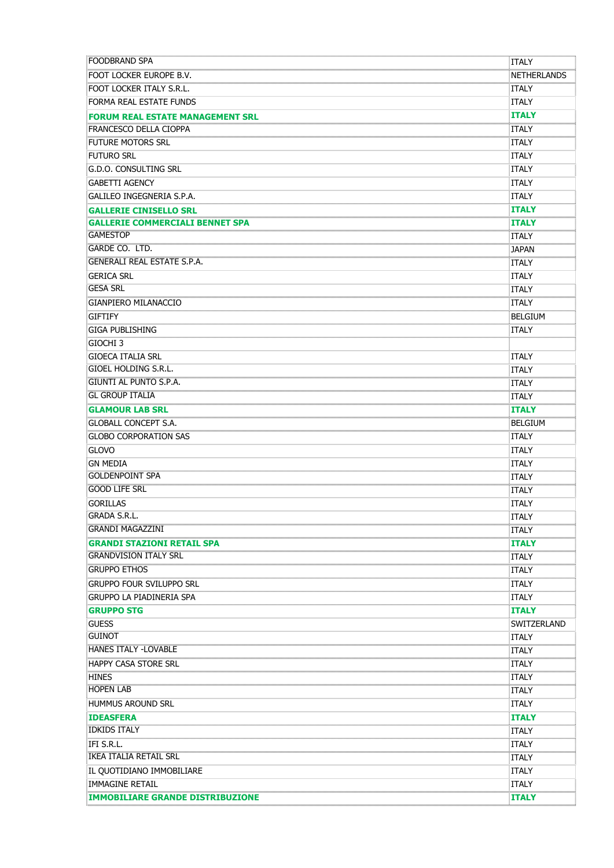| <b>FOODBRAND SPA</b>                       | <b>ITALY</b>                       |
|--------------------------------------------|------------------------------------|
| FOOT LOCKER EUROPE B.V.                    | <b>NETHERLANDS</b>                 |
| FOOT LOCKER ITALY S.R.L.                   | ITALY                              |
| FORMA REAL ESTATE FUNDS                    | <b>ITALY</b>                       |
| <b>FORUM REAL ESTATE MANAGEMENT SRL</b>    | <b>ITALY</b>                       |
| FRANCESCO DELLA CIOPPA                     | ITALY                              |
| <b>FUTURE MOTORS SRL</b>                   | :ITALY                             |
| <b>FUTURO SRL</b>                          | <b>ITALY</b>                       |
| <b>G.D.O. CONSULTING SRL</b>               | <b>ITALY</b>                       |
| <b>GABETTI AGENCY</b>                      | <b>ITALY</b>                       |
| GALILEO INGEGNERIA S.P.A.                  | <b>ITALY</b><br>                   |
| <b>GALLERIE CINISELLO SRL</b>              | <b>ITALY</b>                       |
| <b>GALLERIE COMMERCIALI BENNE</b><br>r SPA | <b>ITALY</b><br>                   |
| <b>GAMESTOP</b>                            | ITALY                              |
| GARDE CO. LTD.                             | <b>JAPAN</b>                       |
| <b>GENERALI REAL ESTATE S.P.A.</b>         | <br><b>ITALY</b>                   |
| <b>GERICA SRL</b>                          | <b>ITALY</b>                       |
| <b>GESA SRL</b>                            | <b>ITALY</b>                       |
| <b>GIANPIERO MILANACCIO</b>                | <b>ITALY</b>                       |
| <b>GIFTIFY</b>                             | <b>BELGIUM</b>                     |
| <b>GIGA PUBLISHING</b>                     | ITALY                              |
| <b>GIOCHI 3</b>                            |                                    |
| <b>GIOECA ITALIA SRL</b>                   | <b>ITALY</b>                       |
| GIOEL HOLDING S.R.L.                       | <b>ITALY</b>                       |
| <b>GIUNTI AL PUNTO S.P.A.</b>              | <b>ITALY</b>                       |
| <b>GL GROUP ITALIA</b>                     | .<br>mmmmmmm<br><b>ITALY</b>       |
| <b>GLAMOUR LAB SRL</b>                     | <b>ITALY</b>                       |
| <b>GLOBALL CONCEPT S.A.</b>                | <b>BELGIUM</b>                     |
| <b>GLOBO CORPORATION SAS</b>               | ITALY                              |
| <b>GLOVO</b>                               | <b>ITALY</b>                       |
| <b>GN MEDIA</b>                            | <b>ITALY</b>                       |
| <b>GOLDENPOINT SPA</b>                     | <b>ITALY</b>                       |
| <b>GOOD LIFE SRL</b>                       | <b>ITALY</b>                       |
| <b>GORILLAS</b>                            | <b>ITALY</b>                       |
| <b>GRADA S.R.L.</b>                        | <b>ITALY</b>                       |
| <b>GRANDI MAGAZZINI</b>                    | ITALY                              |
| <b>GRANDI STAZIONI RETAIL SPA</b>          | <b>ITALY</b>                       |
| <b>GRANDVISION ITALY SRL</b>               | ITALY                              |
| <b>GRUPPO ETHOS</b>                        | ITALY                              |
| <b>GRUPPO FOUR SVILUPPO SRL</b>            | .<br>huunnommuu<br>ITALY           |
| <b>GRUPPO LA PIADINERIA SPA</b>            | ITALY                              |
| <b>GRUPPO STG</b>                          | <b>ITALY</b>                       |
| <b>GUESS</b>                               | SWITZERLAND                        |
| <b>GUINOT</b>                              | ITALY                              |
| <b>HANES ITALY -LOVABLE</b>                | ITALY                              |
| <b>HAPPY CASA STORE SRL</b>                | ITALY                              |
| <b>HINES</b>                               | <br>ITALY                          |
| <b>HOPEN LAB</b>                           | ITALY                              |
| <b>HUMMUS AROUND SRL</b>                   | <b>ITALY</b>                       |
| <b>IDEASFERA</b>                           | <b>ITALY</b>                       |
| <b>IDKIDS ITALY</b>                        | ITALY                              |
| IFI S.R.L.                                 | .<br>1000000000000<br><b>ITALY</b> |
| <b>IKEA ITALIA RETAIL SRL</b>              | <b>ITALY</b>                       |
| IL QUOTIDIANO IMMOBILIARE                  | <b>ITALY</b>                       |
| IMMAGINE RETAIL                            | <b>ITALY</b>                       |
| <b>IMMOBILIARE GRANDE DISTRIBUZIONE</b>    | <b>ITALY</b>                       |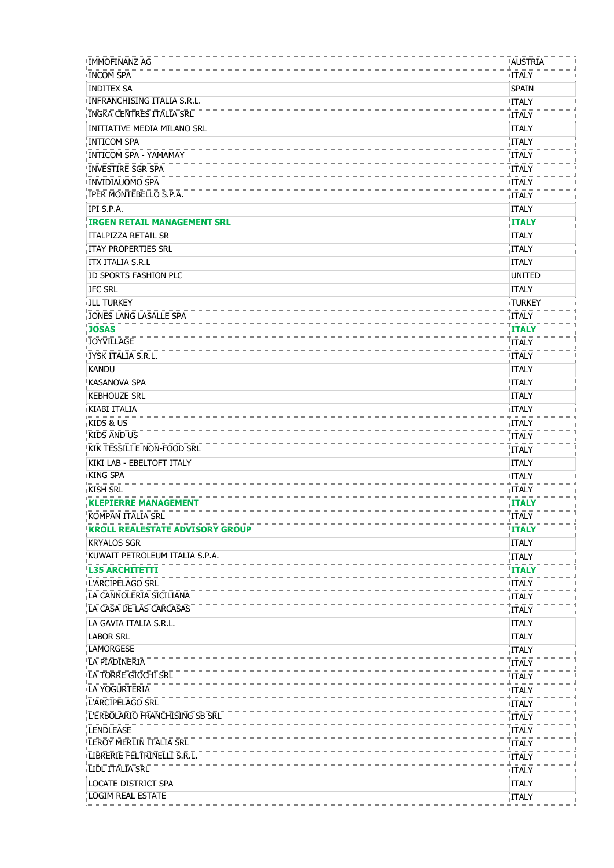| IMMOFINANZ AG                      | AUSTRIA                       |
|------------------------------------|-------------------------------|
| <b>INCOM SPA</b>                   | <b>ITALY</b>                  |
| <b>INDITEX SA</b>                  | <b>SPAIN</b>                  |
| INFRANCHISING ITALIA S.R.L.        | <b>ITALY</b>                  |
| <b>INGKA CENTRES ITALIA SRL</b>    | ITALY                         |
| INITIATIVE MEDIA MILANO SRL        | <b>ITALY</b>                  |
| Inticom SPA                        | <b>ITALY</b>                  |
| <b>INTICOM SPA - YAMAMAY</b>       | ITALY                         |
| <b>INVESTIRE SGR SPA</b>           | .<br><br><b>ITALY</b>         |
| INVIDIAUOMO SPA                    | ITALY                         |
| <b>IPER MONTEBELLO S.P.A.</b>      | <b>ITALY</b>                  |
| IPI S.P.A.                         | <b>ITALY</b>                  |
| <b>IRGEN RETAIL MANAGEMENT SRL</b> | <b>ITALY</b>                  |
| ITALPIZZA RETAIL SR                | <b>ITALY</b>                  |
| <b>ITAY PROPERTIES SRL</b>         | ITALY                         |
| <b>ITX ITALIA S.R.L</b>            | <b>ITALY</b>                  |
| JD SPORTS FASHION PLC              | <b>UNITED</b>                 |
| <b>JFC SRL</b>                     | <b>ITALY</b>                  |
| <b>JLL TURKEY</b>                  | TURKEY                        |
| JONES LANG LASALLE SPA             | <b>ITALY</b>                  |
| <b>JOSAS</b>                       | <b>ITALY</b>                  |
| <b>JOYVILLAGE</b>                  | <b>ITALY</b>                  |
| JYSK ITALIA S.R.L.                 | <b>ITALY</b>                  |
| <b>KANDU</b>                       | <b>ITALY</b>                  |
| <b>KASANOVA SPA</b>                | <b>ITALY</b>                  |
| <b>KEBHOUZE SRL</b>                | <b>ITALY</b>                  |
| KIABI ITALIA                       | <b>ITALY</b>                  |
| KIDS & US                          | ITALY                         |
| <b>KIDS AND US</b>                 | <b>ITALY</b>                  |
| <b>KIK TESSILI E NON-FOOD SRL</b>  | <b>ITALY</b>                  |
| KIKI LAB - EBELTOFT ITALY          | <b>ITALY</b>                  |
| <b>KING SPA</b>                    | <b>ITALY</b>                  |
| <b>KISH SRL</b>                    | ITALY                         |
| <b>KLEPIERRE MANAGEMENT</b>        | <b>ITALY</b>                  |
| KOMPAN ITALIA SRL                  | <b>ITALY</b>                  |
| KROLL REALESTATE ADVISORY GROUP    | <b>ITALY</b>                  |
| <b>KRYALOS SGR</b>                 | <b>ITALY</b>                  |
| KUWAIT PETROLEUM ITALIA S.P.A.     | <b>ITALY</b>                  |
| <b>L35 ARCHITETTI</b>              | <b>ITALY</b>                  |
| L'ARCIPELAGO SRL                   | ITALY                         |
| LA CANNOLERIA SICILIANA            | <b>ITALY</b>                  |
| LA CASA DE LAS CARCASAS            | ITALY                         |
| LA GAVIA ITALIA S.R.L.             | <b>ITALY</b>                  |
| <b>LABOR SRL</b>                   | <b>ITALY</b>                  |
| LAMORGESE                          | <b>ITALY</b>                  |
| LA PIADINERIA                      | <b>ITALY</b>                  |
| LA TORRE GIOCHI SRL                | <b>ITALY</b>                  |
| <b>LA YOGURTERIA</b>               | <b>ITALY</b>                  |
| <u>.</u><br>L'ARCIPELAGO SRL       | .<br>Dominimimimimim<br>ITALY |
| L'ERBOLARIO FRANCHISING SB SRL     | ITALY                         |
| LENDLEASE                          | <br><b>ITALY</b>              |
| LEROY MERLIN ITALIA SRL            | <b>ITALY</b>                  |
| EIBRERIE FELTRINELLI S.R.L.        | .<br><br><b>ITALY</b>         |
| LIDL ITALIA SRL                    | <b>ITALY</b>                  |
| <b>LOCATE DISTRICT SPA</b>         | <b>ITALY</b>                  |
| <b>LOGIM REAL ESTATE</b>           | <b>ITALY</b>                  |
|                                    |                               |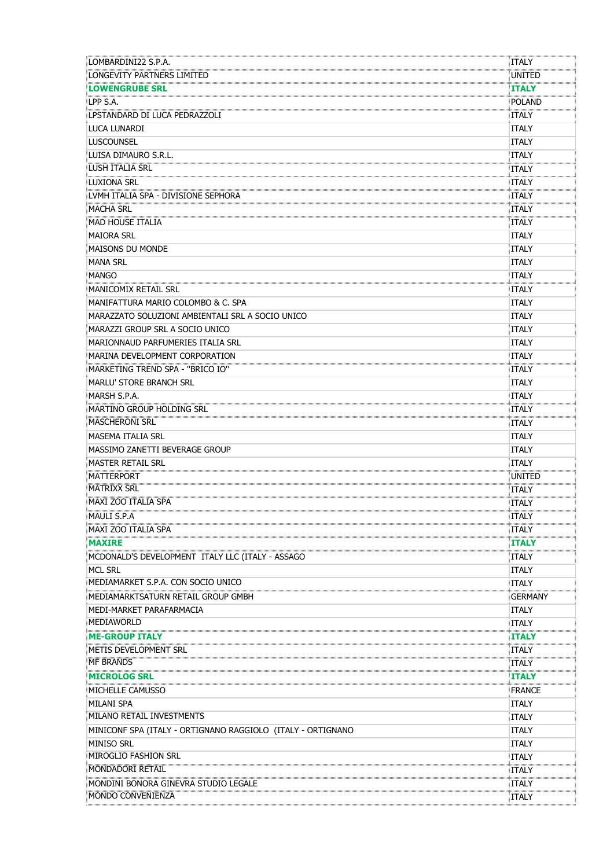| LOMBARDINI22 S.P.A.                                         | <b>ITALY</b>                         |
|-------------------------------------------------------------|--------------------------------------|
| LONGEVITY PARTNERS LIMITED                                  | UNITED                               |
| <b>LOWENGRUBE SRL</b>                                       | <b>ITALY</b>                         |
| LPP S.A.                                                    | .<br>huunnommuunnon<br><b>POLAND</b> |
| LPSTANDARD DI LUCA PEDRAZZOLI                               | <b>ITALY</b>                         |
| LUCA LUNARDI                                                | <b>ITALY</b>                         |
| <b>LUSCOUNSEL</b>                                           | <b>ITALY</b>                         |
| LUISA DIMAURO S.R.L.                                        | ITALY                                |
| <b>LUSH ITALIA SRL</b>                                      | ITALY                                |
| <b>LUXIONA SRL</b>                                          | ITALY                                |
| LVMH ITALIA SPA - DIVISIONE SEPHORA                         | 5<br>ITALY                           |
| <b>MACHA SRL</b>                                            | <b>ITALY</b>                         |
| MAD HOUSE ITALIA                                            | ITALY                                |
| <b>MAIORA SRL</b>                                           | <b>ITALY</b>                         |
| <b>MAISONS DU MONDE</b>                                     | <b>ITALY</b>                         |
| <b>MANA SRL</b>                                             | <b>ITALY</b>                         |
| <b>MANGO</b>                                                | <b>ITALY</b>                         |
| <b>MANICOMIX RETAIL SRL</b>                                 | <b>ITALY</b>                         |
| MANIFATTURA MARIO COLOMBO & C. SPA                          | <b>ITALY</b>                         |
| MARAZZATO SOLUZIONI AMBIENTALI SRL A SOCIO UNICO            | <b>ITALY</b>                         |
| MARAZZI GROUP SRL A SOCIO UNICO                             | <b>ITALY</b>                         |
| MARIONNAUD PARFUMERIES ITALIA SRL                           | <b>ITALY</b>                         |
| MARINA DEVELOPMENT CORPORATION                              | <b>ITALY</b>                         |
| MARKETING TREND SPA - "BRICO IO"                            | ITALY                                |
| <b>MARLU' STORE BRANCH SRL</b>                              | <b>ITALY</b>                         |
| MARSH S.P.A.                                                | ITALY                                |
| MARTINO GROUP HOLDING SRL                                   | <b>ITALY</b>                         |
| <b>MASCHERONI SRL</b>                                       | <b>ITALY</b>                         |
|                                                             |                                      |
| <b>MASEMA ITALIA SRL</b>                                    | <b>ITALY</b>                         |
| MASSIMO ZANETTI BEVERAGE GROUP                              | <b>ITALY</b>                         |
| <b>MASTER RETAIL SRL</b>                                    | ITALY                                |
| MATTERPORT<br><b>MATRIXX SRL</b>                            | UNITED                               |
| MAXI ZOO ITALIA SPA                                         | ITALY                                |
|                                                             | ITALY                                |
| MAULT S.P.A                                                 | ITALY                                |
| MAXI ZOO ITALIA SPA                                         | ITAI Y<br>                           |
| <b>MAXIRE</b>                                               | <b>ITALY</b>                         |
| MCDONALD'S DEVELOPMENT ITALY LLC (ITALY - ASSAGO            | ITALY                                |
| <b>MCL SRL</b>                                              | <b>ITALY</b>                         |
| MEDIAMARKET S.P.A. CON SOCIO UNICO                          | <b>ITALY</b>                         |
| MEDIAMARKTSATURN RETAIL GROUP GMBH                          | <b>GERMANY</b>                       |
| MEDI-MARKET PARAFARMACIA                                    | <b>ITALY</b>                         |
| MEDIAWORLD                                                  | ITALY<br>\mmmmmmmmmmmmmmmmm          |
| <b>ME-GROUP ITALY</b>                                       | <b>ITALY</b>                         |
| METIS DEVELOPMENT SRL                                       | <b>ITALY</b>                         |
| <b>MF BRANDS</b>                                            | <b>ITALY</b>                         |
| <b>MICROLOG SRL</b>                                         | <b>ITALY</b>                         |
| MICHELLE CAMUSSO                                            | FRANCE                               |
| <b>MILANI SPA</b>                                           | <b>ITALY</b>                         |
| MILANO RETAIL INVESTMENTS                                   | <b>ITALY</b>                         |
| MINICONF SPA (ITALY - ORTIGNANO RAGGIOLO (ITALY - ORTIGNANO | <b>ITALY</b>                         |
| <b>MINISO SRL</b>                                           | <b>ITALY</b>                         |
| MIROGLIO FASHION SRL                                        | ITALY<br>.                           |
| <b>MONDADORI RETAIL</b>                                     | <b>ITALY</b>                         |
| MONDINI BONORA GINEVRA STUDIO LEGALE                        | ITALY<br>,,,,,,,,,,,,,,,,,,,,,,      |
| <b>MONDO CONVENIENZA</b>                                    | ITALY                                |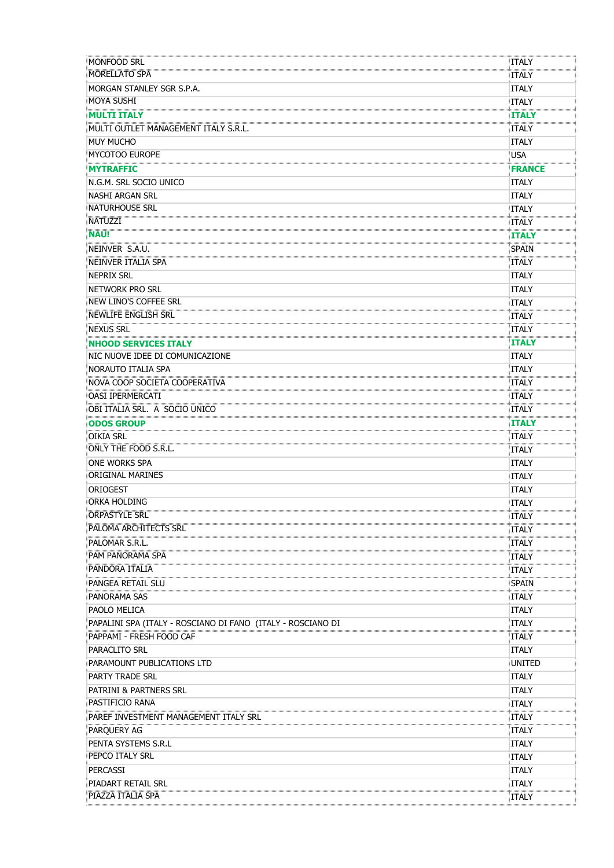| MONFOOD SRL                                                 | ITALY                                          |
|-------------------------------------------------------------|------------------------------------------------|
| <b>MORELLATO SPA</b>                                        | ITALY                                          |
| MORGAN STANLEY SGR S.P.A.                                   | <b>ITALY</b>                                   |
| <b>MOYA SUSHI</b>                                           | <b>ITALY</b>                                   |
| <b>MULTI ITALY</b>                                          | <b>ITALY</b>                                   |
| MULTI OUTLET MANAGEMENT ITALY S.R.L.                        | <b>ITALY</b>                                   |
| <b>MUY MUCHO</b>                                            | <b>ITALY</b>                                   |
| <b>MYCOTOO EUROPE</b>                                       | <b>USA</b>                                     |
| <b>MYTRAFFIC</b>                                            | <b>FRANCE</b>                                  |
| N.G.M. SRL SOCIO UNICO                                      | <b>ITALY</b>                                   |
| NASHI ARGAN SRL                                             | <b>ITALY</b>                                   |
| NATURHOUSE SRL                                              | ITALY                                          |
| .<br>NATUZZI                                                | ITALY                                          |
| <b>NAU!</b>                                                 | 0.000.000.000.000<br><b>ITALY</b>              |
| NEINVER S.A.U.                                              | <b>SPAIN</b>                                   |
| NEINVER ITALIA SPA                                          | <b>ITALY</b>                                   |
| <b>NEPRIX SRL</b>                                           | <b>ITALY</b>                                   |
| <b>NETWORK PRO SRL</b>                                      | <b>ITALY</b>                                   |
| NEW LINO'S COFFEE SRL                                       | ITALY                                          |
| <b>NEWLIFE ENGLISH SRL</b>                                  | .<br>huunnomuun<br>ITALY                       |
| <b>NEXUS SRL</b>                                            | .<br>Annonomono<br>ITALY                       |
| <b>NHOOD SERVICES ITALY</b>                                 | <b>ITALY</b>                                   |
| NIC NUOVE IDEE DI COMUNICAZIONE                             | <b>ITALY</b>                                   |
| NORAUTO ITALIA SPA                                          | <b>ITALY</b>                                   |
| NOVA COOP SOCIETA COOPERATIVA                               | <b>ITALY</b>                                   |
| oasi ipermercati                                            | ITALY                                          |
| OBI ITALIA SRL. A SOCIO UNICO                               | ,,,,,,,,,,,,,,,,,,,<br>ITALY                   |
| <b>ODOS GROUP</b>                                           | :<br><br><b>ITALY</b>                          |
| <b>OIKIA SRL</b>                                            | ITALY                                          |
| ONLY THE FOOD S.R.L.                                        | .<br>Dominiminimini<br><b>ITALY</b>            |
| <b>ONE WORKS SPA</b>                                        | <b>ITALY</b>                                   |
| <b>ORIGINAL MARINES</b>                                     | <b>ITALY</b>                                   |
| ORIOGEST                                                    | <b>ITALY</b>                                   |
| ORKA HOLDING                                                |                                                |
|                                                             |                                                |
| <b>PALOMA ARCHITECTS SRL</b>                                | ITALY                                          |
| PALOMAR S.R.L.                                              | .<br>huunnonnon<br>ITALY                       |
| <b>PAM PANORAMA SPA</b>                                     | ITALY                                          |
| <b>PANDORA ITALIA</b>                                       | , , , , , , , , , , , , , , , , , , ,<br>ITALY |
| PANGEA RETAIL SLU                                           | <br>Spain                                      |
| PANORAMA SAS                                                | ITALY                                          |
| PAOLO MELICA                                                | <b>ITALY</b>                                   |
| PAPALINI SPA (ITALY - ROSCIANO DI FANO (ITALY - ROSCIANO DI | ITALY                                          |
| PAPPAMI - FRESH FOOD CAF                                    | ITALY                                          |
| PARACLITO SRL                                               | <b>ITALY</b>                                   |
| PARAMOUNT PUBLICATIONS LTD                                  | UNITED                                         |
| <b>PARTY TRADE SRL</b>                                      |                                                |
| PATRINI & PARTNERS SRL                                      | <b>ITALY</b><br><b>ITALY</b>                   |
| PASTIFICIO RANA                                             |                                                |
|                                                             | <b>ITALY</b>                                   |
| PAREF INVESTMENT MANAGEMENT ITALY SRL                       | <b>ITALY</b><br>.<br>                          |
| PARQUERY AG                                                 | ITALY                                          |
| PENTA SYSTEMS S.R.L<br>PEPCO ITALY SRL                      | <b>ITALY</b>                                   |
|                                                             | <b>ITALY</b>                                   |
| <b>PERCASSI</b>                                             | <b>ITALY</b>                                   |
| PIADART RETAIL SRL                                          | ITALY                                          |
| PIAZZA ITALIA SPA                                           | ITALY                                          |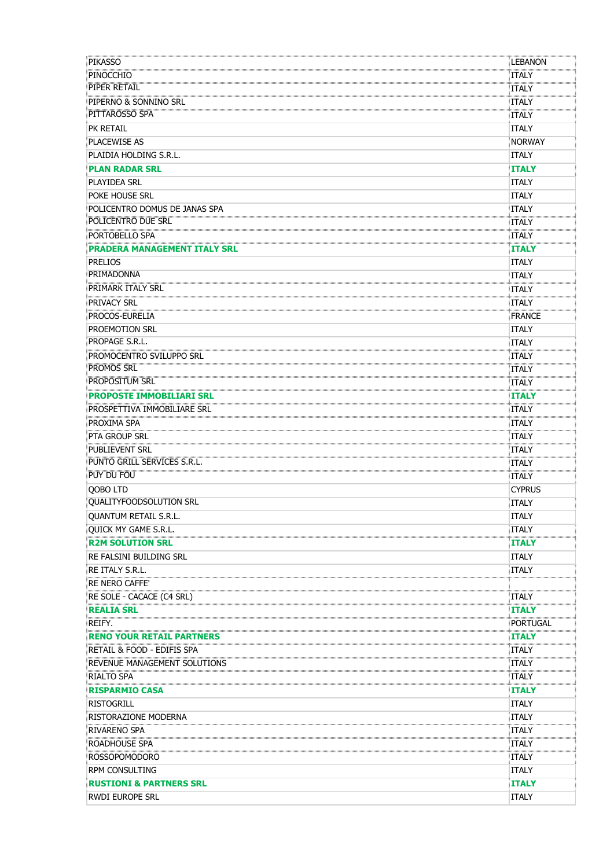| <b>PIKASSO</b>                      | LEBANON                               |
|-------------------------------------|---------------------------------------|
| PINOCCHIO                           | <b>ITALY</b>                          |
| <b>PIPER RETAIL</b>                 | <b>ITALY</b>                          |
| PIPERNO & SONNINO SRL               | ՝ասասասա<br>ITALY                     |
| PITTAROSSO SPA                      | <b>ITALY</b>                          |
| PK RETAIL                           | <b>ITALY</b>                          |
| <b>PLACEWISE AS</b>                 | NORWAY                                |
| PLAIDIA HOLDING S.R.L.              | <b>ITALY</b>                          |
| <b>PLAN RADAR SRL</b>               | <b>ITALY</b>                          |
| <b>PLAYIDEA SRL</b>                 | <b>ITALY</b>                          |
| POKE HOUSE SRL                      | <b>ITALY</b>                          |
| POLICENTRO DOMUS DE JANAS SPA       | <b>ITALY</b>                          |
| POLICENTRO DUE SRL                  | .<br>10000000000000<br>ITALY          |
| PORTOBELLO SPA                      | .<br>Domonomonom<br><b>ITALY</b>      |
| <b>PRADERA MANAGEMENT ITALY SRL</b> | <b>ITALY</b>                          |
| <b>PRELIOS</b>                      | <b>ITALY</b>                          |
| PRIMADONNA                          | <b>ITALY</b>                          |
| <b>PRIMARK ITALY SRL</b>            | ITALY                                 |
| PRIVACY SRL                         | ITALY                                 |
| PROCOS-EURELIA                      | FRANCE                                |
| PROEMOTION SRL                      | <b>ITALY</b>                          |
| PROPAGE S.R.L.                      | <b>ITALY</b>                          |
| PROMOCENTRO SVILUPPO SRL            | .<br><br><b>ITALY</b>                 |
| <b>PROMOS SRL</b>                   | <b>ITALY</b>                          |
| <b>PROPOSITUM SRL</b>               | .<br>huunnommuun<br>ITALY             |
| <b>PROPOSTE IMMOBILIARI SRL</b>     | <b>ITALY</b>                          |
| PROSPETTIVA IMMOBILIARE SRL         | <b>ITALY</b>                          |
| PROXIMA SPA                         | ITALY                                 |
| <b>PTA GROUP SRL</b>                | ITALY                                 |
| <b>PUBLIEVENT SRL</b>               | :<br><br><b>ITALY</b>                 |
| PUNTO GRILL SERVICES S.R.L.         | ITALY                                 |
| $PUY$ DU FOU                        | <b>ITALY</b>                          |
| QOBO LTD                            | <b>CYPRUS</b>                         |
| QUALITYFOODSOLUTION SRL             | ĪTALY                                 |
| QUANTUM RETAIL S.R.L                | ITALY                                 |
| OUICK MY GAME S.R.L.                | <b>ITALY</b>                          |
| <b>R2M SOLUTION SRL</b>             | <b>ITALY</b>                          |
| <b>RE FALSINI BUILDING SRL</b>      | <b>ITALY</b>                          |
| RE ITALY S.R.L.                     | ITALY                                 |
| <b>RE NERO CAFFE'</b>               | .<br>                                 |
| RE SOLE - CACACE (C4 SRL)           | <b>ITALY</b>                          |
| <b>REALIA SRL</b>                   | .<br>Dominimimimimimi<br><b>ITALY</b> |
| REIFY.                              | <b>PORTUGAL</b>                       |
| <b>RENO YOUR RETAIL PARTNERS</b>    | <b>ITALY</b>                          |
| RETAIL & FOOD - EDIFIS SPA          | <b>ITALY</b>                          |
| REVENUE MANAGEMENT SOLUTIONS        | <br>ITALY                             |
| RIALTO SPA                          | ITALY                                 |
| <b>RISPARMIO CASA</b>               | <br><b>ITALY</b>                      |
| <b>RISTOGRILL</b>                   | <b>ITALY</b>                          |
| RISTORAZIONE MODERNA                | <b>ITALY</b>                          |
| RIVARENO SPA                        | ,<br>juunnumuun<br>ITALY              |
| ROADHOUSE SPA                       | ITALY                                 |
| <b>ROSSOPOMODORO</b>                | <b>ITALY</b>                          |
| <b>RPM CONSULTING</b>               | <b>ITALY</b>                          |
| <b>RUSTIONI &amp; PARTNERS SRL</b>  | <b>ITALY</b>                          |
| <b>RWDI EUROPE SRL</b>              | <b>ITALY</b>                          |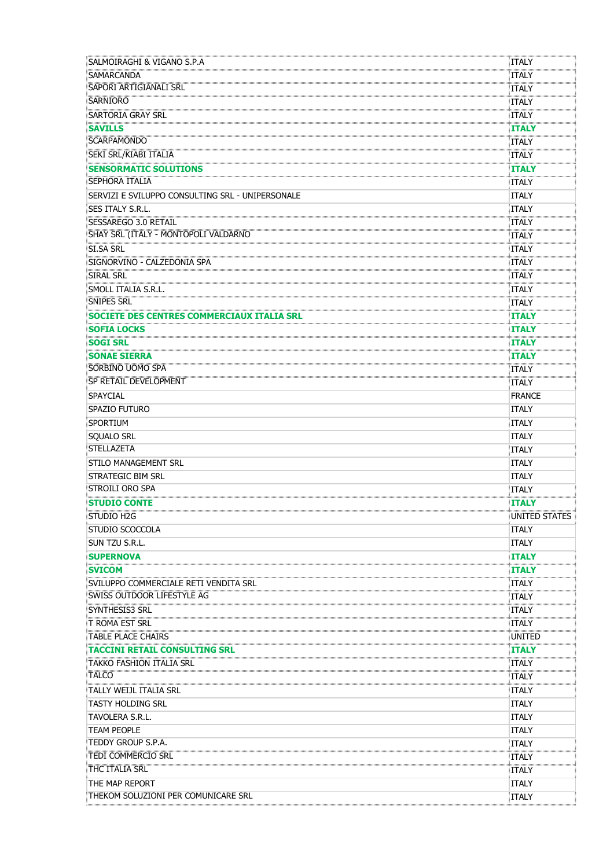| Salmoiraghi & Vigano S.P.A                                                                                                                                                                                                                   | ITALY                                         |
|----------------------------------------------------------------------------------------------------------------------------------------------------------------------------------------------------------------------------------------------|-----------------------------------------------|
| SAMARCANDA                                                                                                                                                                                                                                   | <b>ITALY</b>                                  |
| <b>SAPORI ARTIGIANALI SRL</b>                                                                                                                                                                                                                | <b>ITALY</b>                                  |
| <u>.</u><br>SARNIORO                                                                                                                                                                                                                         | .<br>Romanumove<br>ITALY                      |
| <b>SARTORIA GRAY SRL</b>                                                                                                                                                                                                                     | <b>ITALY</b>                                  |
| <b>SAVILLS</b>                                                                                                                                                                                                                               | :<br>huunnummuunnum<br><b>ITALY</b>           |
| <b>SCARPAMONDO</b>                                                                                                                                                                                                                           | 5<br>ITALY                                    |
| <b>SEKI SRL/KIABI ITALIA</b>                                                                                                                                                                                                                 | <b>ITALY</b>                                  |
| <b>SENSORMATIC SOLUTIONS</b>                                                                                                                                                                                                                 | ភ្និយាយអាយាយអាយាយអាយាយអាយាយអា<br><b>ITALY</b> |
| <b>SEPHORA ITALIA</b>                                                                                                                                                                                                                        | <b>ITALY</b>                                  |
| SERVIZI E SVILUPPO CONSULTING SRL - UNIPERSONALE                                                                                                                                                                                             | <b>ITALY</b>                                  |
| <b>SES ITALY S.R.L.</b>                                                                                                                                                                                                                      | <b>ITALY</b>                                  |
|                                                                                                                                                                                                                                              | ITALY                                         |
|                                                                                                                                                                                                                                              | .<br>Toomoonomoo<br><b>ITALY</b>              |
| $\sim$ . The contract of the contract of the contract of the contract of the contract of the contract of the contract of the contract of the contract of the contract of the contract of the contract of the contract of the co<br>SI.SA SRL | <b>ITALY</b>                                  |
| SIGNORVINO - CALZEDONIA SPA                                                                                                                                                                                                                  | .<br>Nationalisti matematik<br><b>ITALY</b>   |
| <b>SIRAL SRL</b>                                                                                                                                                                                                                             | ITALY                                         |
| SMOLL ITALIA S.R.L.                                                                                                                                                                                                                          | .<br>Nationalisti matematik<br><b>ITALY</b>   |
| <b>SNIPES SRL</b>                                                                                                                                                                                                                            | <b>ITALY</b>                                  |
| SOCIETE DES CENTRES COMMERCIAUX ITALIA SRL                                                                                                                                                                                                   | <b>ITALY</b>                                  |
| <b>SOFIA LOCKS</b>                                                                                                                                                                                                                           | .<br>Annonomonomo<br><b>ITALY</b>             |
| <b>SOGI SRL</b>                                                                                                                                                                                                                              | <b>ITALY</b>                                  |
| <b>SONAE SIERRA</b>                                                                                                                                                                                                                          | 100000000000000000000000<br><b>ITALY</b>      |
| <b>SORBINO UOMO SPA</b>                                                                                                                                                                                                                      | ITALY                                         |
| SP RETAIL DEVELOPMENT                                                                                                                                                                                                                        | ITALY                                         |
| <b>SPAYCIAL</b>                                                                                                                                                                                                                              | <b>FRANCE</b>                                 |
| SPAZIO FUTURO                                                                                                                                                                                                                                | <b>ITALY</b>                                  |
| SPORTIUM                                                                                                                                                                                                                                     | <b>ITALY</b>                                  |
| <b>SQUALO SRL</b>                                                                                                                                                                                                                            | <b>ITALY</b>                                  |
| STELLAZETA                                                                                                                                                                                                                                   | <b>ITALY</b>                                  |
| STILO MANAGEMENT SRL                                                                                                                                                                                                                         | <b>ITALY</b>                                  |
| <b>STRATEGIC BIM SRL</b>                                                                                                                                                                                                                     | <b>ITALY</b>                                  |
| STROILI ORO SPA                                                                                                                                                                                                                              | <b>ITALY</b>                                  |
| <b>STUDIO CONTE</b>                                                                                                                                                                                                                          | ទ្ធិណាណណាណណាណណាណណាណណាញ<br><b>ITALY</b>        |
| STUDIO H2G                                                                                                                                                                                                                                   | UNITED STATES                                 |
| STUDIO SCOCCOLA                                                                                                                                                                                                                              | <b>ITALY</b>                                  |
| SUN TZU S.R.L.                                                                                                                                                                                                                               | <b>ITALY</b>                                  |
| <b>SUPERNOVA</b>                                                                                                                                                                                                                             | <b>ITALY</b>                                  |
| <b>SVICOM</b>                                                                                                                                                                                                                                | ITALY                                         |
| SVILUPPO COMMERCIALE RETI VENDITA SRL                                                                                                                                                                                                        | ITALY                                         |
| <b>SWISS OUTDOOR LIFESTYLE AG</b>                                                                                                                                                                                                            | ITALY                                         |
| SYNTHESIS3 SRL                                                                                                                                                                                                                               | .<br>huunnommuun<br><b>ITALY</b>              |
| T ROMA EST SRL                                                                                                                                                                                                                               | <b>ITALY</b>                                  |
| TABLE PLACE CHAIRS                                                                                                                                                                                                                           | <br>UNITED                                    |
| TACCINI RETAIL CONSULTING SRL                                                                                                                                                                                                                | <b>ITALY</b>                                  |
| TAKKO FASHION ITALIA SRL                                                                                                                                                                                                                     | ITALY                                         |
| <b>TALCO</b>                                                                                                                                                                                                                                 | ITALY                                         |
| TALLY WEIJL ITALIA SRL                                                                                                                                                                                                                       | <b>ITALY</b>                                  |
| <b>TASTY HOLDING SRL</b>                                                                                                                                                                                                                     | <b>ITALY</b>                                  |
| TAVOLERA S.R.L.                                                                                                                                                                                                                              | <b>ITALY</b>                                  |
| <b>TEAM PEOPLE</b>                                                                                                                                                                                                                           | <b>ITALY</b>                                  |
| <b>TEDDY GROUP S.P.A.</b>                                                                                                                                                                                                                    | <b>ITALY</b>                                  |
| <b>TEDI COMMERCIO SRL</b>                                                                                                                                                                                                                    | .<br>Tuunnumuun<br><b>ITALY</b>               |
| THC ITALIA SRL                                                                                                                                                                                                                               | .<br>Dominimimimimi<br>ITALY                  |
| THE MAP REPORT                                                                                                                                                                                                                               | <b>ITALY</b>                                  |
| THEKOM SOLUZIONI PER COMUNICARE SRL                                                                                                                                                                                                          | ITALY                                         |
|                                                                                                                                                                                                                                              |                                               |